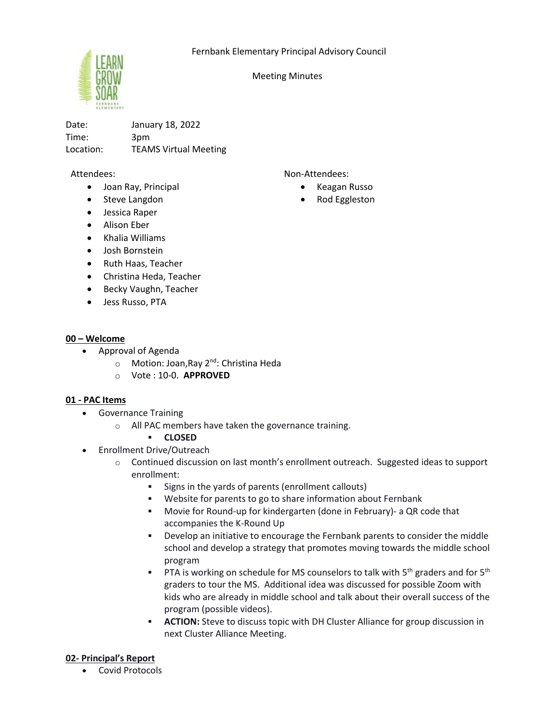

Meeting Minutes

Date: January 18, 2022 Time: 3pm Location: TEAMS Virtual Meeting

### Attendees:

- Joan Ray, Principal
- Steve Langdon
- Jessica Raper
- Alison Eber
- Khalia Williams
- Josh Bornstein
- Ruth Haas, Teacher
- Christina Heda, Teacher
- Becky Vaughn, Teacher
- Jess Russo, PTA

### **00 – Welcome**

- Approval of Agenda
	- o Motion: Joan, Ray 2<sup>nd</sup>: Christina Heda
	- o Vote : 10-0. **APPROVED**

### **01 - PAC Items**

- Governance Training
	- o All PAC members have taken the governance training.

### ▪ **CLOSED**

- Enrollment Drive/Outreach
	- $\circ$  Continued discussion on last month's enrollment outreach. Suggested ideas to support enrollment:
		- Signs in the yards of parents (enrollment callouts)
		- Website for parents to go to share information about Fernbank
		- Movie for Round-up for kindergarten (done in February)- a QR code that accompanies the K-Round Up
		- **•** Develop an initiative to encourage the Fernbank parents to consider the middle school and develop a strategy that promotes moving towards the middle school program
		- **•** PTA is working on schedule for MS counselors to talk with 5<sup>th</sup> graders and for 5<sup>th</sup> graders to tour the MS. Additional idea was discussed for possible Zoom with kids who are already in middle school and talk about their overall success of the program (possible videos).
		- **ACTION:** Steve to discuss topic with DH Cluster Alliance for group discussion in next Cluster Alliance Meeting.

### **02- Principal's Report**

• Covid Protocols

Non-Attendees:

- Keagan Russo
- Rod Eggleston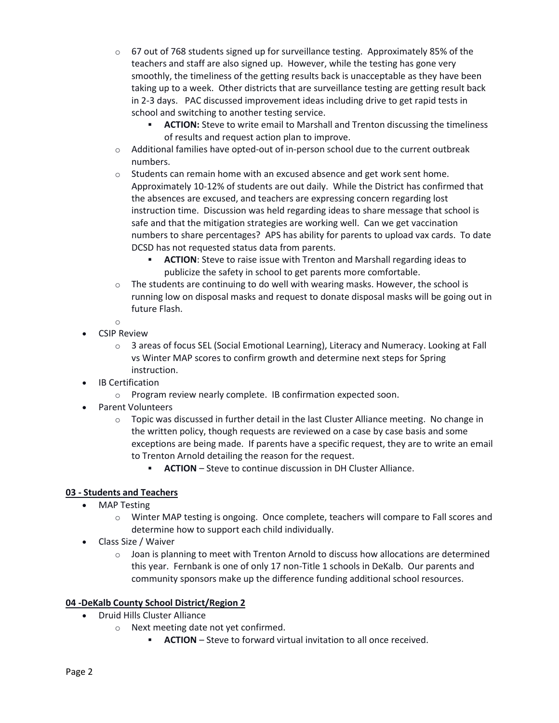- $\circ$  67 out of 768 students signed up for surveillance testing. Approximately 85% of the teachers and staff are also signed up. However, while the testing has gone very smoothly, the timeliness of the getting results back is unacceptable as they have been taking up to a week. Other districts that are surveillance testing are getting result back in 2-3 days. PAC discussed improvement ideas including drive to get rapid tests in school and switching to another testing service.
	- ACTION: Steve to write email to Marshall and Trenton discussing the timeliness of results and request action plan to improve.
- $\circ$  Additional families have opted-out of in-person school due to the current outbreak numbers.
- $\circ$  Students can remain home with an excused absence and get work sent home. Approximately 10-12% of students are out daily. While the District has confirmed that the absences are excused, and teachers are expressing concern regarding lost instruction time. Discussion was held regarding ideas to share message that school is safe and that the mitigation strategies are working well. Can we get vaccination numbers to share percentages? APS has ability for parents to upload vax cards. To date DCSD has not requested status data from parents.
	- **ACTION:** Steve to raise issue with Trenton and Marshall regarding ideas to publicize the safety in school to get parents more comfortable.
- $\circ$  The students are continuing to do well with wearing masks. However, the school is running low on disposal masks and request to donate disposal masks will be going out in future Flash.

o

- CSIP Review
	- o 3 areas of focus SEL (Social Emotional Learning), Literacy and Numeracy. Looking at Fall vs Winter MAP scores to confirm growth and determine next steps for Spring instruction.
- **IB Certification** 
	- o Program review nearly complete. IB confirmation expected soon.
- Parent Volunteers
	- $\circ$  Topic was discussed in further detail in the last Cluster Alliance meeting. No change in the written policy, though requests are reviewed on a case by case basis and some exceptions are being made. If parents have a specific request, they are to write an email to Trenton Arnold detailing the reason for the request.
		- **ACTION** Steve to continue discussion in DH Cluster Alliance.

# **03 - Students and Teachers**

- MAP Testing
	- $\circ$  Winter MAP testing is ongoing. Once complete, teachers will compare to Fall scores and determine how to support each child individually.
- Class Size / Waiver
	- $\circ$  Joan is planning to meet with Trenton Arnold to discuss how allocations are determined this year. Fernbank is one of only 17 non-Title 1 schools in DeKalb. Our parents and community sponsors make up the difference funding additional school resources.

# **04 -DeKalb County School District/Region 2**

- Druid Hills Cluster Alliance
	- o Next meeting date not yet confirmed.
		- **ACTION** Steve to forward virtual invitation to all once received.